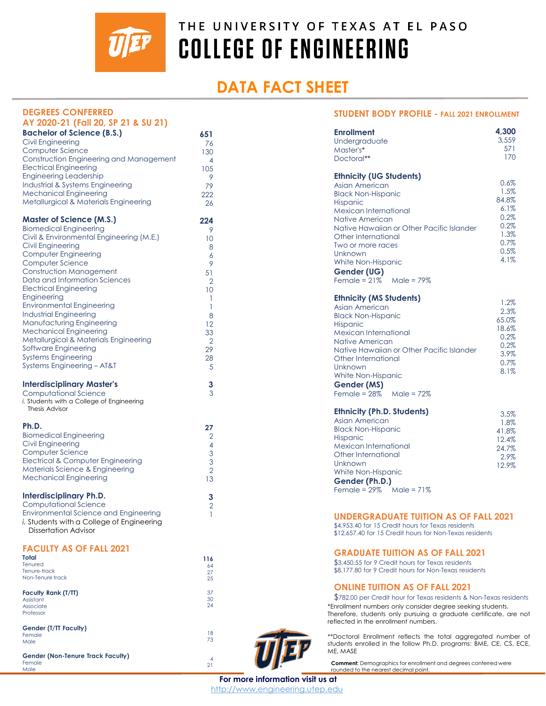

# **DATA FACT SHEET**

| <b>DEGREES CONFERRED</b>                                               |                          |                                                                                                                                 | <b>STUDENT BODY PROFILE - FALL 2021 ENROLLMENT</b> |  |
|------------------------------------------------------------------------|--------------------------|---------------------------------------------------------------------------------------------------------------------------------|----------------------------------------------------|--|
| AY 2020-21 (Fall 20, SP 21 & SU 21)                                    |                          |                                                                                                                                 |                                                    |  |
| <b>Bachelor of Science (B.S.)</b>                                      | 651                      | <b>Enrollment</b>                                                                                                               | 4,300                                              |  |
| Civil Engineering                                                      | 76                       | Undergraduate                                                                                                                   | 3,559                                              |  |
| Computer Science                                                       | 130                      | Master's*                                                                                                                       | 571                                                |  |
| Construction Engineering and Management                                | $\overline{4}$           | Doctoral**                                                                                                                      | 170                                                |  |
| <b>Electrical Engineering</b>                                          | 105                      |                                                                                                                                 |                                                    |  |
| <b>Engineering Leadership</b>                                          | 9                        | <b>Ethnicity (UG Students)</b>                                                                                                  |                                                    |  |
| Industrial & Systems Engineering                                       | 79                       | Asian American                                                                                                                  | 0.6%                                               |  |
| <b>Mechanical Engineering</b>                                          | 222                      | <b>Black Non-Hispanic</b>                                                                                                       | 1.5%                                               |  |
| Metallurgical & Materials Engineering                                  | 26                       | Hispanic                                                                                                                        | 84.8%                                              |  |
|                                                                        |                          | Mexican International                                                                                                           | 6.1%                                               |  |
| <b>Master of Science (M.S.)</b>                                        | 224                      | Native American                                                                                                                 | 0.2%                                               |  |
| <b>Biomedical Engineering</b>                                          | 9                        | Native Hawaiian or Other Pacific Islander                                                                                       | 0.2%                                               |  |
| Civil & Environmental Engineering (M.E.)                               | 10                       | Other International                                                                                                             | 1.3%<br>0.7%                                       |  |
| <b>Civil Engineering</b>                                               | 8                        | Two or more races                                                                                                               | 0.5%                                               |  |
| Computer Engineering                                                   | 6                        | Unknown                                                                                                                         | 4.1%                                               |  |
| Computer Science                                                       | 9                        | White Non-Hispanic                                                                                                              |                                                    |  |
| <b>Construction Management</b>                                         | 51                       | Gender (UG)                                                                                                                     |                                                    |  |
| Data and Information Sciences                                          | $\overline{2}$           | Female = $21\%$<br>Male = 79%                                                                                                   |                                                    |  |
| <b>Electrical Engineering</b>                                          | 10                       |                                                                                                                                 |                                                    |  |
| Engineering                                                            | $\overline{\phantom{a}}$ | <b>Ethnicity (MS Students)</b>                                                                                                  | 1.2%                                               |  |
| <b>Environmental Engineering</b>                                       | $\overline{1}$           | Asian American                                                                                                                  | 2.3%                                               |  |
| <b>Industrial Engineering</b>                                          | 8                        | <b>Black Non-Hispanic</b>                                                                                                       | 65.0%                                              |  |
| Manufacturing Engineering                                              | 12                       | Hispanic                                                                                                                        | 18.6%                                              |  |
| <b>Mechanical Engineering</b><br>Metallurgical & Materials Engineering | 33                       | Mexican International                                                                                                           | 0.2%                                               |  |
| Software Engineering                                                   | $\overline{2}$           | Native American                                                                                                                 | 0.2%                                               |  |
| <b>Systems Engineering</b>                                             | 29                       | Native Hawaiian or Other Pacific Islander                                                                                       | 3.9%                                               |  |
| Systems Engineering - AT&T                                             | 28                       | Other International                                                                                                             | 0.7%                                               |  |
|                                                                        | 5                        | Unknown                                                                                                                         | 8.1%                                               |  |
|                                                                        |                          | White Non-Hispanic                                                                                                              |                                                    |  |
| <b>Interdisciplinary Master's</b>                                      | 3<br>3                   | Gender (MS)                                                                                                                     |                                                    |  |
| Computational Science<br>i. Students with a College of Engineering     |                          | Female = $28\%$<br>Male = $72\%$                                                                                                |                                                    |  |
| Thesis Advisor                                                         |                          |                                                                                                                                 |                                                    |  |
|                                                                        |                          | <b>Ethnicity (Ph.D. Students)</b>                                                                                               | 3.5%                                               |  |
| Ph.D.                                                                  | 27                       | Asian American                                                                                                                  | 1.8%                                               |  |
| <b>Biomedical Engineering</b>                                          | $\overline{2}$           | <b>Black Non-Hispanic</b>                                                                                                       | 41.8%                                              |  |
| Civil Engineering                                                      | $\overline{4}$           | Hispanic<br>Mexican International                                                                                               | 12.4%                                              |  |
| Computer Science                                                       |                          |                                                                                                                                 | 24.7%                                              |  |
| Electrical & Computer Engineering                                      | $\frac{3}{3}$            | Other International<br><b>Unknown</b>                                                                                           | 2.9%                                               |  |
| Materials Science & Engineering                                        | $\overline{2}$           | White Non-Hispanic                                                                                                              | 12.9%                                              |  |
| <b>Mechanical Engineering</b>                                          | 13                       | Gender (Ph.D.)                                                                                                                  |                                                    |  |
|                                                                        |                          | Female = $29\%$ Male = $71\%$                                                                                                   |                                                    |  |
| <b>Interdisciplinary Ph.D.</b>                                         | 3                        |                                                                                                                                 |                                                    |  |
| Computational Science                                                  | $\overline{2}$           |                                                                                                                                 |                                                    |  |
| <b>Environmental Science and Engineering</b>                           | $\mathbf{1}$             | <b>UNDERGRADUATE TUITION AS OF FALL 2021</b>                                                                                    |                                                    |  |
| <i>i.</i> Students with a College of Engineering                       |                          | \$4,953.40 for 15 Credit hours for Texas residents                                                                              |                                                    |  |
| Dissertation Advisor                                                   |                          | \$12,657,40 for 15 Credit hours for Non-Texas residents                                                                         |                                                    |  |
|                                                                        |                          |                                                                                                                                 |                                                    |  |
| <b>FACULTY AS OF FALL 2021</b>                                         |                          | <b>GRADUATE TUITION AS OF FALL 2021</b>                                                                                         |                                                    |  |
| Total                                                                  | 116                      |                                                                                                                                 |                                                    |  |
| Tenured                                                                | 64                       | \$3,450.55 for 9 Credit hours for Texas residents<br>\$8,177.80 for 9 Credit hours for Non-Texas residents                      |                                                    |  |
| Tenure-track<br>Non-Tenure track                                       | 27<br>25                 |                                                                                                                                 |                                                    |  |
|                                                                        |                          | <b>ONLINE TUITION AS OF FALL 2021</b>                                                                                           |                                                    |  |
| Faculty Rank (T/TT)                                                    | 37                       |                                                                                                                                 |                                                    |  |
| Assistant                                                              | 30<br>24                 | \$782.00 per Credit hour for Texas residents & Non-Texas residents                                                              |                                                    |  |
| Associate<br>Professor                                                 |                          | *Enrollment numbers only consider degree seeking students.<br>Therefore, students only pursuing a graduate certificate, are not |                                                    |  |
|                                                                        |                          | reflected in the enrollment numbers.                                                                                            |                                                    |  |
| Gender (T/TT Faculty)                                                  |                          |                                                                                                                                 |                                                    |  |
| Female                                                                 | 18<br>73                 | **Doctoral Enrollment reflects the total aggregated number of                                                                   |                                                    |  |
| Male                                                                   |                          | students enrolled in the follow Ph.D. programs: BME, CE, CS, ECE,                                                               |                                                    |  |
| <b>Gender (Non-Tenure Track Faculty)</b>                               |                          | ME, MASE                                                                                                                        |                                                    |  |
| Female                                                                 | 4<br>21                  | <b>Comment:</b> Demographics for enrollment and degrees conferred were                                                          |                                                    |  |
| Male                                                                   |                          | rounded to the nearest decimal point.                                                                                           |                                                    |  |

**For more information visit us at** http://www.engineering.utep.edu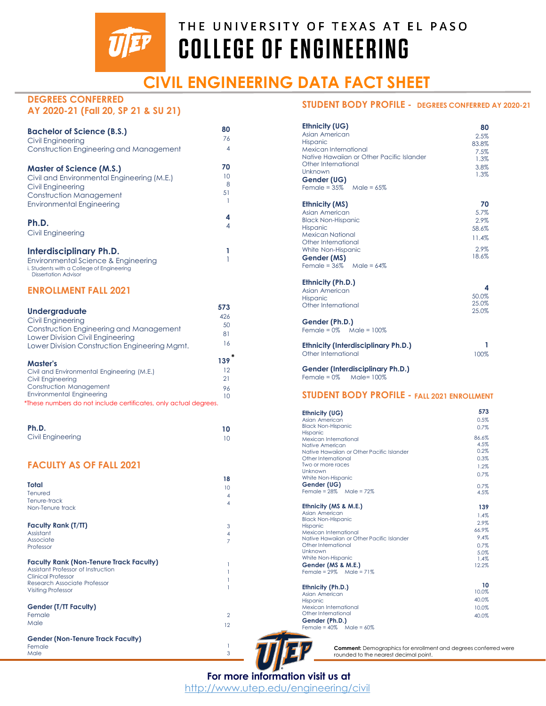

# **CIVIL ENGINEERING DATA FACT SHEET**

1

### **DEGREES CONFERRED AY 2020-21 (Fall 20, SP 21 & SU 21)**

| <b>Bachelor of Science (B.S.)</b><br>Civil Engineering                                                                                                            | 80<br>76            |
|-------------------------------------------------------------------------------------------------------------------------------------------------------------------|---------------------|
| Construction Engineering and Management                                                                                                                           | 4                   |
| <b>Master of Science (M.S.)</b><br>Civil and Environmental Engineering (M.E.)<br>Civil Engineering<br>Construction Management<br><b>Environmental Engineering</b> | 70<br>10<br>8<br>51 |
| Ph.D.<br>Civil Engineering                                                                                                                                        | 4<br>4              |
| Interdisciplinary Ph.D.                                                                                                                                           |                     |

#### Environmental Science & Engineering i. Students with a College of Engineering Dissertation Advisor

### **ENROLLMENT FALL 2021**

| <b>Undergraduate</b>                                             | 573             |
|------------------------------------------------------------------|-----------------|
| Civil Engineering                                                | 426             |
| Construction Engineering and Management                          | 50              |
| Lower Division Civil Engineering                                 | 81              |
| Lower Division Construction Engineering Mamt.                    | 16              |
| <b>Master's</b>                                                  | 139             |
| Civil and Environmental Engineering (M.E.)                       | 12              |
| Civil Engineering                                                | 21              |
| <b>Construction Management</b>                                   | 96              |
| <b>Environmental Engineering</b>                                 | 10              |
| *These numbers do not include certificates, only actual degrees. |                 |
| Ph.D.                                                            | 10              |
| <b>Civil Engineering</b>                                         |                 |
|                                                                  | 10              |
| <b>FACULTY AS OF FALL 2021</b>                                   |                 |
|                                                                  | 18              |
| <b>Total</b>                                                     | 10 <sup>°</sup> |
| Tenured<br>Tenure-track                                          | $\overline{4}$  |
| Non-Tenure track                                                 | 4               |
| <b>Faculty Rank (T/TT)</b>                                       | 3               |
| Assistant                                                        | 4               |
| Associate<br>Professor                                           | $\overline{7}$  |
| <b>Faculty Rank (Non-Tenure Track Faculty)</b>                   | 1               |
| Assistant Professor of Instruction                               | 1               |
| <b>Clinical Professor</b><br>Research Associate Professor        | 1               |
| <b>Visiting Professor</b>                                        | 1               |
| <b>Gender (T/TT Faculty)</b>                                     |                 |
| Female                                                           | $\overline{2}$  |
| Male                                                             | 12              |
|                                                                  |                 |

**Gender (Non-Tenure Track Faculty)** Female Male

## **STUDENT BODY PROFILE - DEGREES CONFERRED AY 2020-21**

| Ethnicity (UG)<br>Asian American<br>Hispanic<br>Mexican International<br>Native Hawaijan or Other Pacific Islander<br>Other International<br>Unknown<br>Gender (UG)<br>Female = $35\%$ Male = $65\%$            | 80<br>2.5%<br>83.8%<br>7.5%<br>1.3%<br>3.8%<br>1.3%   |
|-----------------------------------------------------------------------------------------------------------------------------------------------------------------------------------------------------------------|-------------------------------------------------------|
| <b>Ethnicity (MS)</b><br>Asian American<br><b>Black Non-Hispanic</b><br><b>Hispanic</b><br><b>Mexican National</b><br>Other International<br>White Non-Hispanic<br>Gender (MS)<br>Female = $36\%$ Male = $64\%$ | 70<br>5.7%<br>2.9%<br>58.6%<br>11.4%<br>2.9%<br>18.6% |
| Ethnicity (Ph.D.)<br>Asian American<br><b>Hispanic</b><br>Other International<br>Gender (Ph.D.)<br>Female = $0\%$ Male = $100\%$                                                                                | 4<br>50.0%<br>25.0%<br>25.0%                          |
| <b>Ethnicity (Interdisciplinary Ph.D.)</b><br>Other International                                                                                                                                               | 1<br>100%                                             |
| <b>Gender (Interdisciplinary Ph.D.)</b><br>Female = $0\%$ Male= $100\%$                                                                                                                                         |                                                       |

#### **STUDENT BODY PROFILE - FALL 2021 ENROLLMENT**

| Ethnicity (UG)                                                     | 573           |
|--------------------------------------------------------------------|---------------|
| Asian American                                                     | 0.5%          |
| <b>Black Non-Hispanic</b>                                          | 0.7%          |
| Hispanic                                                           |               |
| Mexican International                                              | 86.6%<br>4.5% |
| Native American                                                    | 0.2%          |
| Native Hawaijan or Other Pacific Islander                          |               |
| Other International<br>Two or more races                           | 0.3%          |
| Unknown                                                            | 1.2%          |
| White Non-Hispanic                                                 | 0.7%          |
| Gender (UG)                                                        | 0.7%          |
| Female = $28\%$ Male = $72\%$                                      | 4.5%          |
|                                                                    |               |
| Ethnicity (MS & M.E.)                                              | 139           |
| Asian American                                                     | 1.4%          |
| <b>Black Non-Hispanic</b>                                          | 2.9%          |
| Hispanic                                                           | 66.9%         |
| Mexican International<br>Native Hawaiian or Other Pacific Islander | 9.4%          |
| Other International                                                |               |
| Unknown                                                            | 0.7%          |
| White Non-Hispanic                                                 | 5.0%<br>1.4%  |
| Gender (MS & M.E.)                                                 | 12.2%         |
| Female = $29\%$ Male = $71\%$                                      |               |
|                                                                    |               |
| Ethnicity (Ph.D.)                                                  | 10            |
| Asian American                                                     | 10.0%         |
| Hispanic                                                           | 40.0%         |
| Mexican International                                              | 10.0%         |
| Other International                                                | 40.0%         |
| Gender (Ph D)                                                      |               |

**Gender (Ph.D.)** Female = 40% Male = 60%

**Comment:** Demographics for enrollment and degrees conferred were rounded to the nearest decimal point.

1 3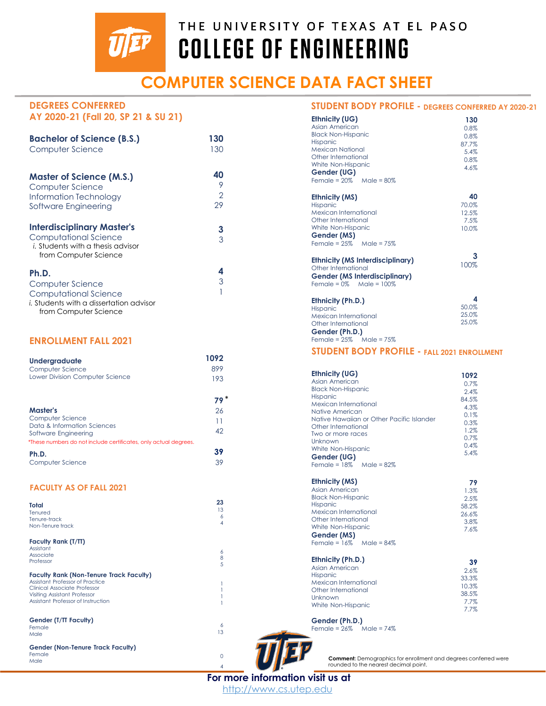

# **COMPUTER SCIENCE DATA FACT SHEET**

## **DEGREES CONFERRED AY 2020-21 (Fall 20, SP 21 & SU 21)**

| <b>Bachelor of Science (B.S.)</b>                                                                                        | 130    |
|--------------------------------------------------------------------------------------------------------------------------|--------|
| Computer Science                                                                                                         | 130    |
| <b>Master of Science (M.S.)</b>                                                                                          | 40     |
| Computer Science                                                                                                         | 9      |
| Information Technology                                                                                                   | 2      |
| Software Engineering                                                                                                     | 29     |
| <b>Interdisciplinary Master's</b><br>Computational Science<br>i. Students with a thesis advisor<br>from Computer Science | 3<br>3 |
| Ph.D.<br>Computer Science<br>Computational Science<br>i. Students with a dissertation advisor<br>from Computer Science   | 4<br>3 |

#### **ENROLLMENT FALL 2021**

| <b>Undergraduate</b>                                             | 1092 |
|------------------------------------------------------------------|------|
| Computer Science                                                 | 899  |
| Lower Division Computer Science                                  | 193  |
|                                                                  |      |
| <b>Master's</b>                                                  | 26   |
| Computer Science                                                 | 11   |
| Data & Information Sciences<br>Software Engineering              | 42   |
| *These numbers do not include certificates, only actual degrees. |      |
| Ph.D.                                                            |      |

#### **FACULTY AS OF FALL 2021**

Computer Science

| Total<br>Tenured                                                                                                  | 23<br>13<br>6 |
|-------------------------------------------------------------------------------------------------------------------|---------------|
| Tenure-track<br>Non-Tenure track                                                                                  | 4             |
| Faculty Rank (T/TT)                                                                                               |               |
| Assistant<br>Associate<br>Professor                                                                               | 6<br>8<br>5   |
| <b>Faculty Rank (Non-Tenure Track Faculty)</b><br>Assistant Professor of Practice<br>Clinical Associate Professor |               |
| Visiting Assistant Professor<br>Assistant Professor of Instruction                                                |               |
| Gender (T/TT Faculty)<br>Female                                                                                   | 6             |
| Male                                                                                                              | 13            |
| Gender (Non-Tenure Track Faculty)                                                                                 |               |
| Female<br>Male                                                                                                    | U             |

#### **STUDENT BODY PROFILE - DEGREES CONFERRED AY 2020-21**

| <b>Ethnicity (UG)</b><br>Asian American<br><b>Black Non-Hispanic</b><br><b>Hispanic</b><br><b>Mexican National</b><br>Other International<br>White Non-Hispanic<br>Gender (UG)<br>Female = $20\%$ Male = $80\%$                                        | 130<br>0.8%<br>0.8%<br>87.7%<br>5.4%<br>0.8%<br>4.6%                          |
|--------------------------------------------------------------------------------------------------------------------------------------------------------------------------------------------------------------------------------------------------------|-------------------------------------------------------------------------------|
| <b>Ethnicity (MS)</b><br>Hispanic<br>Mexican International<br>Other International<br>White Non-Hispanic<br>Gender (MS)<br>Female = $25\%$ Male = $75\%$                                                                                                | 40<br>70.0%<br>12.5%<br>7.5%<br>10.0%                                         |
| Ethnicity (MS Interdisciplinary)<br>Other International<br><b>Gender (MS Interdisciplinary)</b><br>Female = $0\%$ Male = $100\%$                                                                                                                       | 3<br>100%                                                                     |
| Ethnicity (Ph.D.)<br><b>Hispanic</b><br>Mexican International<br>Other International<br>Gender (Ph.D.)<br>Female = $25\%$ Male = $75\%$                                                                                                                | 4<br>50.0%<br>25.0%<br>25.0%                                                  |
| <b>STUDENT BODY PROFILE - FALL 2021 ENROLLMENT</b>                                                                                                                                                                                                     |                                                                               |
| Ethnicity (UG)<br>Asian American<br><b>Black Non-Hispanic</b><br><b>Hispanic</b><br>Mexican International<br>Native American<br>Native Hawaiian or Other Pacific Islander<br>Other International<br>Two or more races<br>Unknown<br>White Non-Hispanic | 1092<br>0.7%<br>2.4%<br>84.5%<br>4.3%<br>0.1%<br>0.3%<br>1.2%<br>0.7%<br>0.4% |
| Gender (UG)<br>Female = $18\%$ Male = $82\%$                                                                                                                                                                                                           | 5.4%                                                                          |
| <b>Ethnicity (MS)</b><br>Asian American<br><b>Black Non-Hispanic</b><br><b>Hispanic</b><br>Mexican International<br>Other International<br>White Non-Hispanic<br>Gender (MS)<br>Female = $16\%$<br>Male = 84%                                          | 79<br>1.3%<br>2.5%<br>58.2%<br>26.6%<br>3.8%<br>7.6%                          |



39

4

**Comment:** Demographics for enrollment and degrees conferred were rounded to the nearest decimal point.

**For more information visit us at**

http://www.cs.utep.edu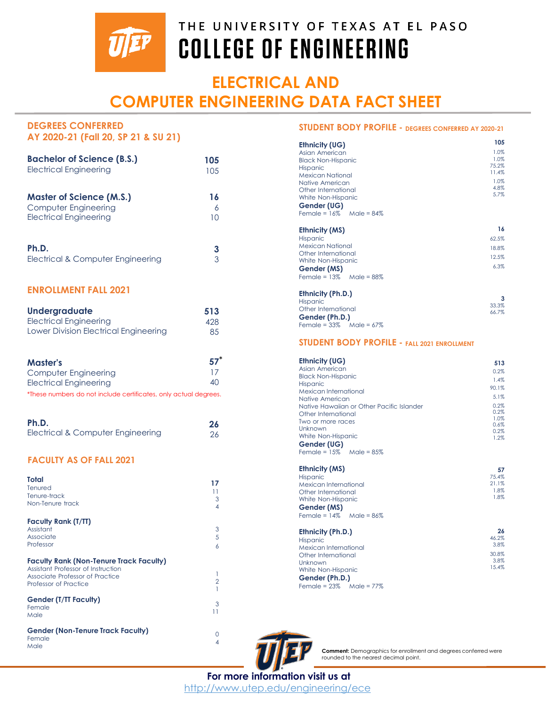

# **ELECTRICAL AND COMPUTER ENGINEERING DATA FACT SHEET**

| <b>DEGREES CONFERRED</b>                                         |                  | STUDENT BODY PROFILE - DEGREES CONFERRED AY 2020-21 |                |
|------------------------------------------------------------------|------------------|-----------------------------------------------------|----------------|
| AY 2020-21 (Fall 20, SP 21 & SU 21)                              |                  |                                                     |                |
|                                                                  |                  | <b>Ethnicity (UG)</b>                               | 105            |
|                                                                  |                  | Asian American                                      | 1.0%<br>1.0%   |
| <b>Bachelor of Science (B.S.)</b>                                | 105              | <b>Black Non-Hispanic</b>                           | 75.2%          |
| <b>Electrical Engineering</b>                                    | 105              | Hispanic<br><b>Mexican National</b>                 | 11.4%          |
|                                                                  |                  | Native American                                     | 1.0%           |
|                                                                  |                  | Other International                                 | 4.8%           |
| <b>Master of Science (M.S.)</b>                                  | 16               | White Non-Hispanic                                  | 5.7%           |
| Computer Engineering                                             | 6                | Gender (UG)                                         |                |
| <b>Electrical Engineering</b>                                    | 10               | Female = $16\%$ Male = $84\%$                       |                |
|                                                                  |                  |                                                     |                |
|                                                                  |                  | <b>Ethnicity (MS)</b>                               | 16             |
|                                                                  |                  | Hispanic                                            | 62.5%          |
| Ph.D.                                                            | 3                | <b>Mexican National</b>                             | 18.8%          |
| Electrical & Computer Engineering                                | 3                | Other International                                 | 12.5%          |
|                                                                  |                  | White Non-Hispanic                                  | 6.3%           |
|                                                                  |                  | Gender (MS)                                         |                |
|                                                                  |                  | Female = $13\%$ Male = $88\%$                       |                |
| <b>ENROLLMENT FALL 2021</b>                                      |                  |                                                     |                |
|                                                                  |                  | Ethnicity (Ph.D.)                                   | 3              |
|                                                                  |                  | <b>Hispanic</b><br>Other International              | 33.3%          |
| Undergraduate                                                    | 513              | Gender (Ph.D.)                                      | 66.7%          |
| <b>Electrical Engineering</b>                                    | 428              | Female = $33\%$ Male = $67\%$                       |                |
| Lower Division Electrical Engineering                            | 85               |                                                     |                |
|                                                                  |                  | <b>STUDENT BODY PROFILE - FALL 2021 ENROLLMENT</b>  |                |
|                                                                  |                  |                                                     |                |
| <b>Master's</b>                                                  | $57^*$           | <b>Ethnicity (UG)</b><br>Asian American             | 513            |
| Computer Engineering                                             | 17               | <b>Black Non-Hispanic</b>                           | 0.2%           |
| <b>Electrical Engineering</b>                                    | 40               | Hispanic                                            | 1.4%           |
|                                                                  |                  | Mexican International                               | 90.1%          |
| *These numbers do not include certificates, only actual degrees. |                  | Native American                                     | 5.1%           |
|                                                                  |                  | Native Hawaiian or Other Pacific Islander           | 0.2%           |
|                                                                  |                  | Other International                                 | 0.2%           |
| Ph.D.                                                            | 26               | Two or more races                                   | 1.0%<br>0.6%   |
| Electrical & Computer Engineering                                | 26               | Unknown                                             | 0.2%           |
|                                                                  |                  | White Non-Hispanic                                  | 1.2%           |
|                                                                  |                  | Gender (UG)                                         |                |
|                                                                  |                  | Female = $15\%$ Male = $85\%$                       |                |
| <b>FACULTY AS OF FALL 2021</b>                                   |                  |                                                     |                |
|                                                                  |                  | <b>Ethnicity (MS)</b>                               | 57             |
| Total                                                            | 17               | <b>Hispanic</b><br>Mexican International            | 75.4%<br>21.1% |
| Tenured                                                          | 11               | Other International                                 | 1.8%           |
| Tenure-track                                                     | 3                | White Non-Hispanic                                  | 1.8%           |
| Non-Tenure track                                                 | 4                | Gender (MS)                                         |                |
|                                                                  |                  | Female = $14\%$ Male = $86\%$                       |                |
| <b>Faculty Rank (T/TT)</b>                                       |                  |                                                     |                |
| Assistant                                                        | 3                | Ethnicity (Ph.D.)                                   | 26             |
| Associate                                                        | 5                | <b>Hispanic</b>                                     | 46.2%          |
| Professor                                                        | 6                | Mexican International                               | 3.8%           |
|                                                                  |                  | Other International                                 | 30.8%          |
| <b>Faculty Rank (Non-Tenure Track Faculty)</b>                   |                  | Unknown                                             | 3.8%           |
| Assistant Professor of Instruction                               | 1                | White Non-Hispanic                                  | 15.4%          |
| Associate Professor of Practice                                  | $\overline{2}$   | Gender (Ph.D.)                                      |                |
| Professor of Practice                                            | $\mathbf{1}$     | Female = $23\%$ Male = $77\%$                       |                |
| <b>Gender (T/TT Faculty)</b>                                     |                  |                                                     |                |
| Female                                                           | 3                |                                                     |                |
| Male                                                             | 11               |                                                     |                |
|                                                                  |                  |                                                     |                |
| <b>Gender (Non-Tenure Track Faculty)</b>                         |                  |                                                     |                |
| Female                                                           | $\mathbf 0$<br>4 |                                                     |                |
| Male                                                             |                  |                                                     |                |

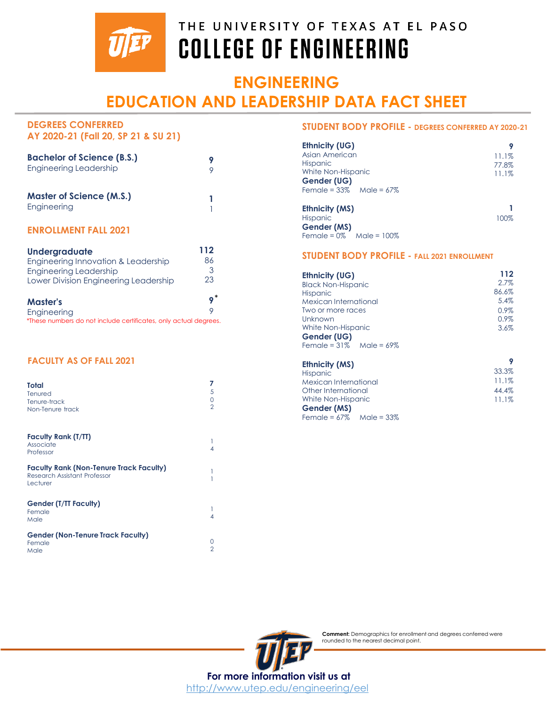

## **ENGINEERING EDUCATION AND LEADERSHIP DATA FACT SHEET**

#### **DEGREES CONFERRED AY 2020-21 (Fall 20, SP 21 & SU 21)**

| <b>Bachelor of Science (B.S.)</b><br><b>Engineering Leadership</b> | 9 |
|--------------------------------------------------------------------|---|
| <b>Master of Science (M.S.)</b><br>Engineering                     |   |

## **ENROLLMENT FALL 2021**

| Undergraduate                         | 112 |
|---------------------------------------|-----|
| Engineering Innovation & Leadership   | 86  |
| <b>Engineering Leadership</b>         | 3   |
| Lower Division Engineering Leadership | 23  |
| <b>Master's</b>                       |     |
| Engineering                           |     |

*\**These numbers do not include certificates, only actual degrees.

### **FACULTY AS OF FALL 2021**

| <b>Total</b><br>Tenured<br>Tenure-track<br>Non-Tenure track | 5 |
|-------------------------------------------------------------|---|
| <b>Faculty Rank (T/TT)</b><br>Associate<br>Professor        |   |

| <b>Faculty Rank (Non-Tenure Track Faculty)</b><br>Research Assistant Professor<br>Lecturer |  |
|--------------------------------------------------------------------------------------------|--|
| <b>Gender (T/TT Faculty)</b><br>Female<br>Male                                             |  |
| <b>Gender (Non-Tenure Track Faculty)</b><br>Female<br>Male                                 |  |

1 1

1 4

0  $\overline{2}$ 

#### **STUDENT BODY PROFILE - DEGREES CONFERRED AY 2020-21**

| Ethnicity (UG)     |       |
|--------------------|-------|
| Asian American     | 11.1% |
| Hispanic           | 77.8% |
| White Non-Hispanic | 11.1% |
| Gender (UG)        |       |
|                    |       |
| Ethnicity (MS)     |       |
| Hispanic           | 100%  |
| Gender (MS)        |       |
|                    |       |

## **STUDENT BODY PROFILE - FALL 2021 ENROLLMENT**

| Ethnicity (UG)                | 112   |
|-------------------------------|-------|
| <b>Black Non-Hispanic</b>     | 2.7%  |
| <b>Hispanic</b>               | 86.6% |
| Mexican International         | 5.4%  |
| Two or more races             | 0.9%  |
| Unknown                       | 0.9%  |
| White Non-Hispanic            | 3.6%  |
| Gender (UG)                   |       |
| Female = $31\%$ Male = $69\%$ |       |
| <b>Ethnicity (MS)</b>         |       |

| <b>LIIIIILIY (MJ)</b>         |       |
|-------------------------------|-------|
| Hispanic                      | 33.3% |
| Mexican International         | 11.1% |
| Other International           | 44.4% |
| White Non-Hispanic            | 11.1% |
| Gender (MS)                   |       |
| Female = $67\%$ Male = $33\%$ |       |

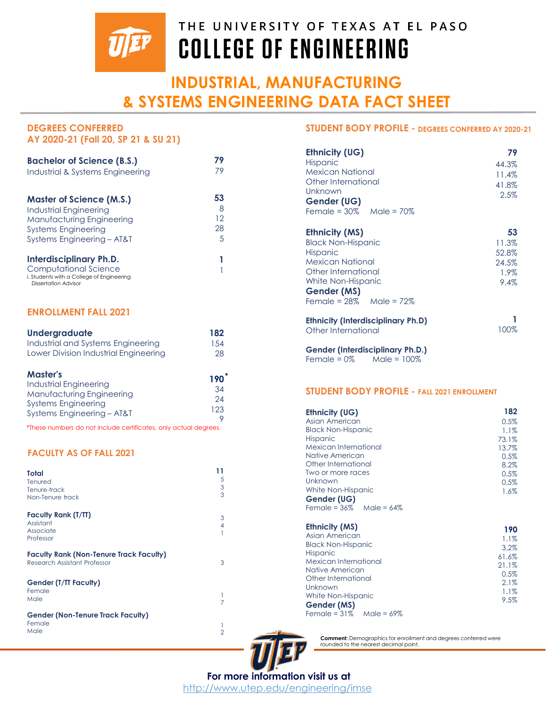

# **INDUSTRIAL, MANUFACTURING & SYSTEMS ENGINEERING DATA FACT SHEET**

| AY 2020-21 (Fall 20, SP 21 & SU 21)                                                                                   |    |
|-----------------------------------------------------------------------------------------------------------------------|----|
| <b>Bachelor of Science (B.S.)</b>                                                                                     | 79 |
| Industrial & Systems Engineering                                                                                      | 79 |
| <b>Master of Science (M.S.)</b>                                                                                       | 53 |
| <b>Industrial Engineering</b>                                                                                         | 8  |
| Manufacturing Engineering                                                                                             | 12 |
| <b>Systems Engineering</b>                                                                                            | 28 |
| Systems Engineering - AT&T                                                                                            | 5  |
| Interdisciplinary Ph.D.<br>Computational Science<br>i. Students with a College of Engineering<br>Dissertation Advisor |    |

### **ENROLLMENT FALL 2021**

**DEGREES CONFERRED** 

| <b>Undergraduate</b>                  | 182  |
|---------------------------------------|------|
| Industrial and Systems Engineering    | 1.54 |
| Lower Division Industrial Engineering | 28   |

| <b>Master's</b>            | 190 |
|----------------------------|-----|
| Industrial Engineering     |     |
| Manufacturing Engineering  | 34  |
| <b>Systems Engineering</b> | 24  |
| Systems Engineering - AT&T | 123 |
|                            |     |

*\**These numbers do not include certificates, only actual degrees.

### **FACULTY AS OF FALL 2021**

| Total<br>Tenured<br>Tenure-track<br>Non-Tenure track                           | 11<br>5<br>3<br>$\overline{3}$ |
|--------------------------------------------------------------------------------|--------------------------------|
| Faculty Rank (T/TT)<br>Assistant<br>Associate<br>Professor                     | 3<br>4                         |
| <b>Faculty Rank (Non-Tenure Track Faculty)</b><br>Research Assistant Professor | 3                              |
| <b>Gender (T/TT Faculty)</b><br>Female<br>Male                                 |                                |
| <b>Gender (Non-Tenure Track Faculty)</b><br>Female<br>Male                     | 2                              |

#### **STUDENT BODY PROFILE - DEGREES CONFERRED AY 2020-21**

| Ethnicity (UG)<br>Hispanic<br>Mexican National<br>Other International<br>Unknown<br>Gender (UG)<br>Female = $30\%$ Male = $70\%$                                                       | 79<br>44.3%<br>11.4%<br>41.8%<br>2.5%         |
|----------------------------------------------------------------------------------------------------------------------------------------------------------------------------------------|-----------------------------------------------|
| <b>Ethnicity (MS)</b><br><b>Black Non-Hispanic</b><br>Hispanic<br><b>Mexican National</b><br>Other International<br>White Non-Hispanic<br>Gender (MS)<br>Female = $28\%$ Male = $72\%$ | 53<br>11.3%<br>52.8%<br>24.5%<br>1.9%<br>9.4% |
| <b>Ethnicity (Interdisciplinary Ph.D)</b><br>Other International                                                                                                                       | 100%                                          |
| <b>Gender (Interdisciplinary Ph.D.)</b>                                                                                                                                                |                                               |

 $F$ emale = 0% Male =  $100\%$ 

#### **STUDENT BODY PROFILE - FALL 2021 ENROLLMENT**

| <b>Ethnicity (UG)</b>         | 182   |
|-------------------------------|-------|
| Asian American                | 0.5%  |
| <b>Black Non-Hispanic</b>     | 1.1%  |
| Hispanic                      | 73.1% |
| Mexican International         | 13.7% |
| Native American               | 0.5%  |
| Other International           | 8.2%  |
| Two or more races             | 0.5%  |
| Unknown                       | 0.5%  |
| White Non-Hispanic            | 1.6%  |
| Gender (UG)                   |       |
| Female = $36\%$ Male = $64\%$ |       |
| <b>Ethnicity (MS)</b>         | 190   |
| Asian American                | 1.1%  |
| <b>Black Non-Hispanic</b>     | 3.2%  |
| <b>Hispanic</b>               |       |
| Mexican International         | 61.6% |
| Native American               | 21.1% |
| Other International           | 0.5%  |
| Unknown                       | 2.1%  |
| White Non-Hispanic            | 1.1%  |
| Gender (MS)                   | 9.5%  |
| Female = $31\%$ Male = $69\%$ |       |



\*

**Comment:** Demographics for enrollment and degrees conferred were rounded to the nearest decimal point.

**For more information visit us at** http://www.utep.edu/engineering/imse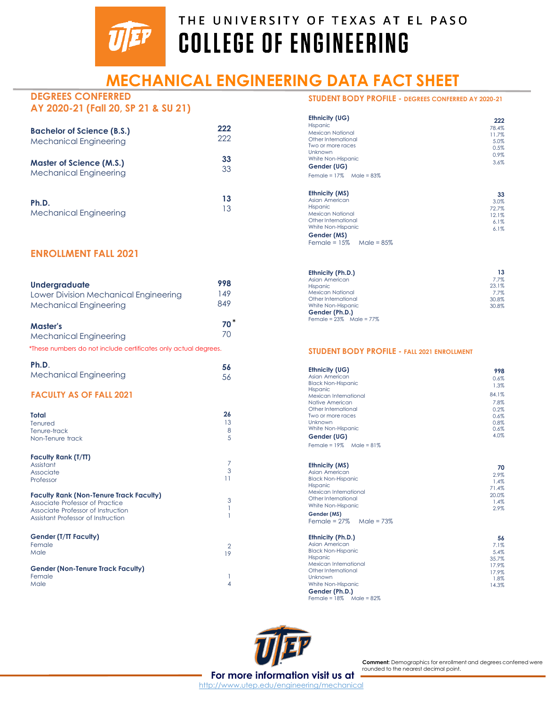

# **MECHANICAL ENGINEERING DATA FACT SHEET**

#### **DEGREES CONFERRED AY 2020-21 (Fall 20, SP 21 & SU 21)**

| <b>Bachelor of Science (B.S.)</b> | 222 |
|-----------------------------------|-----|
| <b>Mechanical Engineering</b>     | 222 |
| <b>Master of Science (M.S.)</b>   | 33  |
| <b>Mechanical Engineering</b>     | 33  |
| Ph.D.                             | 13  |
| <b>Mechanical Engineering</b>     | 13  |

## **ENROLLMENT FALL 2021**

| Undergraduate<br>Lower Division Mechanical Engineering<br><b>Mechanical Engineering</b>                                                                       | 998<br>149<br>849         |
|---------------------------------------------------------------------------------------------------------------------------------------------------------------|---------------------------|
| <b>Master's</b><br><b>Mechanical Engineering</b><br>*These numbers do not include certificates only actual degrees.                                           | $70*$<br>70               |
| Ph.D.<br><b>Mechanical Engineering</b>                                                                                                                        | 56<br>56                  |
| <b>FACULTY AS OF FALL 2021</b>                                                                                                                                |                           |
| <b>Total</b><br>Tenured<br>Tenure-track<br>Non-Tenure track                                                                                                   | 26<br>13<br>8<br>5        |
| <b>Faculty Rank (T/TT)</b><br>Assistant<br>Associate<br>Professor                                                                                             | $\overline{7}$<br>3<br>11 |
| <b>Faculty Rank (Non-Tenure Track Faculty)</b><br>Associate Professor of Practice<br>Associate Professor of Instruction<br>Assistant Professor of Instruction | 3<br>1<br>1               |
| <b>Gender (T/TT Faculty)</b><br>Female<br>Male                                                                                                                | 2<br>19                   |
| <b>Gender (Non-Tenure Track Faculty)</b><br>Female<br>Male                                                                                                    | 1<br>4                    |

## **STUDENT BODY PROFILE - DEGREES CONFERRED AY 2020-21**

| Ethnicity (UG)<br><b>Hispanic</b><br>Mexican National<br>Other International<br>Two or more races<br>Unknown<br>White Non-Hispanic<br>Gender (UG)<br>Female = $17\%$ Male = $83\%$ | 222<br>78.4%<br>11.7%<br>5.0%<br>0.5%<br>0.9%<br>3.6% |
|------------------------------------------------------------------------------------------------------------------------------------------------------------------------------------|-------------------------------------------------------|
| Ethnicity (MS)<br>Asian American<br><b>Hispanic</b><br><b>Mexican National</b><br>Other International<br>White Non-Hispanic<br>Gender (MS)<br>Female = $15\%$<br>Male = $85\%$     | 33<br>3.0%<br>72.7%<br>12.1%<br>6.1%<br>6.1%          |

| Ethnicity (Ph.D.)             | 13    |
|-------------------------------|-------|
| Asian American                | 7.7%  |
| <b>Hispanic</b>               | 23.1% |
| <b>Mexican National</b>       | 7.7%  |
| Other International           | 30.8% |
| White Non-Hispanic            | 30.8% |
| Gender (Ph.D.)                |       |
| Female = $23\%$ Male = $77\%$ |       |

#### **STUDENT BODY PROFILE - FALL 2021 ENROLLMENT**

| Ethnicity (UG)                | 998   |
|-------------------------------|-------|
| Asian American                | 0.6%  |
| <b>Black Non-Hispanic</b>     | 1.3%  |
| <b>Hispanic</b>               |       |
| Mexican International         | 84.1% |
| Native American               | 7.8%  |
| Other International           | 0.2%  |
| Two or more races             | 0.6%  |
| Unknown                       | 0.8%  |
| White Non-Hispanic            | 0.6%  |
| Gender (UG)                   | 4.0%  |
| Female = $19\%$ Male = $81\%$ |       |

| <b>Ethnicity (MS)</b>         | 70    |
|-------------------------------|-------|
| Asian American                | 2.9%  |
| <b>Black Non-Hispanic</b>     | 1.4%  |
| <b>Hispanic</b>               | 71.4% |
| Mexican International         | 20.0% |
| Other International           | 1.4%  |
| White Non-Hispanic            | 2.9%  |
| Gender (MS)                   |       |
| Female = $27\%$ Male = $73\%$ |       |
|                               |       |
| Ethnicity (Ph.D.)             | 56    |
| Asian American                | 7.1%  |
| <b>Black Non-Hispanic</b>     | 5.4%  |
| <b>Hispanic</b>               | 35.7% |
| Mexican International         | 17.9% |
| Other International           | 17.9% |
| Unknown                       | 1.8%  |
| White Non-Hispanic            | 14.3% |
| Gender (Ph.D.)                |       |
| Female = $18\%$ Male = $82\%$ |       |